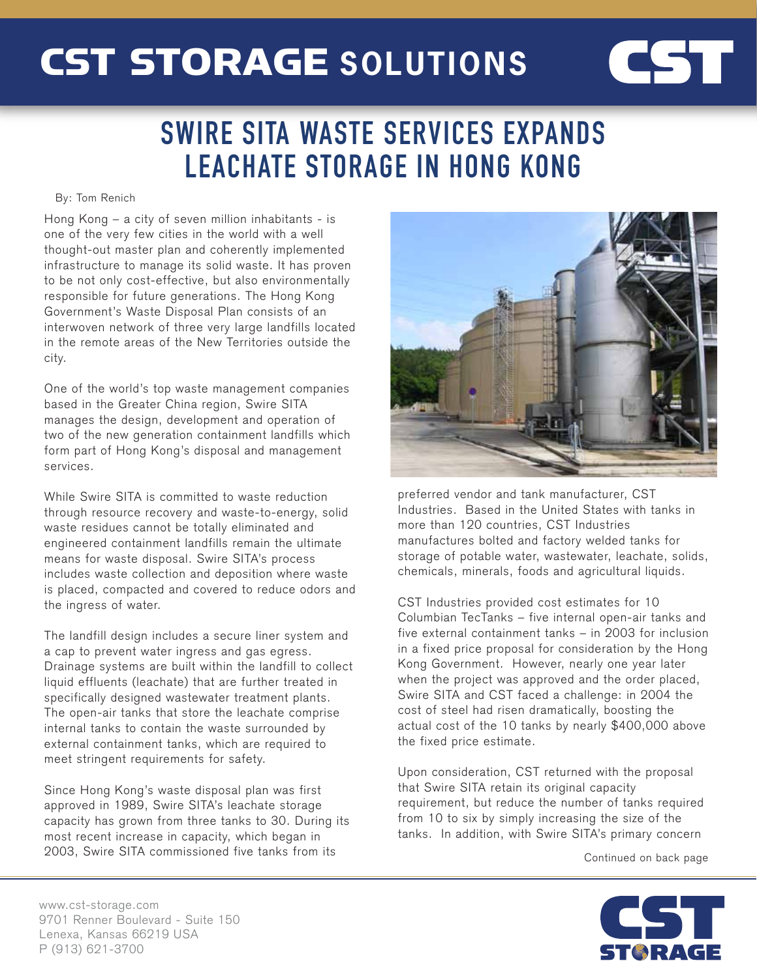# CST STORAGE **SOLUTIONS**

### SWIRE SITA WASTE SERVICES EXPANDS LEACHATE STORAGE IN HONG KONG

#### By: Tom Renich

Hong Kong – a city of seven million inhabitants - is one of the very few cities in the world with a well thought-out master plan and coherently implemented infrastructure to manage its solid waste. It has proven to be not only cost-effective, but also environmentally responsible for future generations. The Hong Kong Government's Waste Disposal Plan consists of an interwoven network of three very large landfills located in the remote areas of the New Territories outside the city.

One of the world's top waste management companies based in the Greater China region, Swire SITA manages the design, development and operation of two of the new generation containment landfills which form part of Hong Kong's disposal and management services.

While Swire SITA is committed to waste reduction through resource recovery and waste-to-energy, solid waste residues cannot be totally eliminated and engineered containment landfills remain the ultimate means for waste disposal. Swire SITA's process includes waste collection and deposition where waste is placed, compacted and covered to reduce odors and the ingress of water.

The landfill design includes a secure liner system and a cap to prevent water ingress and gas egress. Drainage systems are built within the landfill to collect liquid effluents (leachate) that are further treated in specifically designed wastewater treatment plants. The open-air tanks that store the leachate comprise internal tanks to contain the waste surrounded by external containment tanks, which are required to meet stringent requirements for safety.

Since Hong Kong's waste disposal plan was first approved in 1989, Swire SITA's leachate storage capacity has grown from three tanks to 30. During its most recent increase in capacity, which began in 2003, Swire SITA commissioned five tanks from its



**CST** 

preferred vendor and tank manufacturer, CST Industries. Based in the United States with tanks in more than 120 countries, CST Industries manufactures bolted and factory welded tanks for storage of potable water, wastewater, leachate, solids, chemicals, minerals, foods and agricultural liquids.

CST Industries provided cost estimates for 10 Columbian TecTanks – five internal open-air tanks and five external containment tanks – in 2003 for inclusion in a fixed price proposal for consideration by the Hong Kong Government. However, nearly one year later when the project was approved and the order placed, Swire SITA and CST faced a challenge: in 2004 the cost of steel had risen dramatically, boosting the actual cost of the 10 tanks by nearly \$400,000 above the fixed price estimate.

Upon consideration, CST returned with the proposal that Swire SITA retain its original capacity requirement, but reduce the number of tanks required from 10 to six by simply increasing the size of the tanks. In addition, with Swire SITA's primary concern

Continued on back page



www.cst-storage.com 9701 Renner Boulevard - Suite 150 Lenexa, Kansas 66219 USA P (913) 621-3700